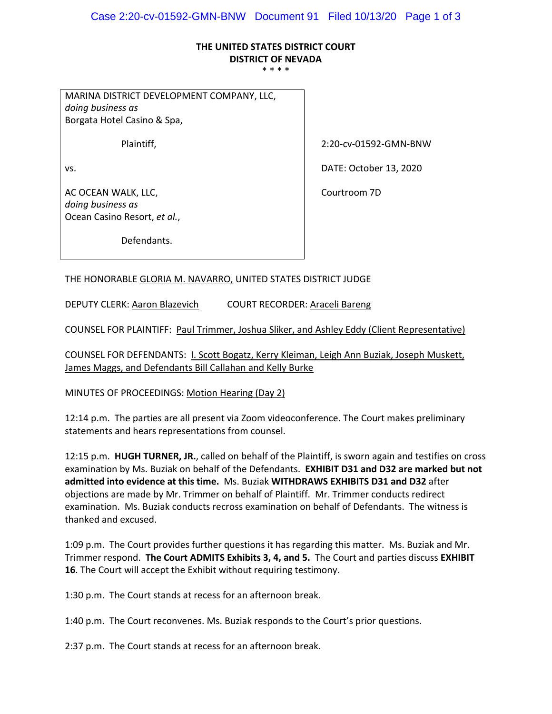## **THE UNITED STATES DISTRICT COURT DISTRICT OF NEVADA**

\* \* \* \*

MARINA DISTRICT DEVELOPMENT COMPANY, LLC, *doing business as* Borgata Hotel Casino & Spa,

the contract of the contract of the contract of the contract of the contract of

the contract of the contract of the contract of the contract of the contract of

the contract of the contract of the contract of the contract of the contract of the contract of the contract of

AC OCEAN WALK, LLC, *doing business as* Ocean Casino Resort, *et al.*,

Plaintiff, 2:20‐cv‐01592‐GMN‐BNW

vs. DATE: October 13, 2020

the contract of the contract of the contract of the contract of the contract of Courtroom 7D

Defendants.

THE HONORABLE GLORIA M. NAVARRO, UNITED STATES DISTRICT JUDGE

DEPUTY CLERK: Aaron Blazevich COURT RECORDER: Araceli Bareng

COUNSEL FOR PLAINTIFF: Paul Trimmer, Joshua Sliker, and Ashley Eddy (Client Representative)

COUNSEL FOR DEFENDANTS: I. Scott Bogatz, Kerry Kleiman, Leigh Ann Buziak, Joseph Muskett, James Maggs, and Defendants Bill Callahan and Kelly Burke

MINUTES OF PROCEEDINGS: Motion Hearing (Day 2)

12:14 p.m. The parties are all present via Zoom videoconference. The Court makes preliminary statements and hears representations from counsel.

12:15 p.m. **HUGH TURNER, JR.**, called on behalf of the Plaintiff, is sworn again and testifies on cross examination by Ms. Buziak on behalf of the Defendants. **EXHIBIT D31 and D32 are marked but not admitted into evidence at this time.** Ms. Buziak **WITHDRAWS EXHIBITS D31 and D32** after objections are made by Mr. Trimmer on behalf of Plaintiff. Mr. Trimmer conducts redirect examination. Ms. Buziak conducts recross examination on behalf of Defendants. The witness is thanked and excused.

1:09 p.m. The Court provides further questions it has regarding this matter. Ms. Buziak and Mr. Trimmer respond. **The Court ADMITS Exhibits 3, 4, and 5.** The Court and parties discuss **EXHIBIT 16**. The Court will accept the Exhibit without requiring testimony.

1:30 p.m. The Court stands at recess for an afternoon break.

1:40 p.m. The Court reconvenes. Ms. Buziak responds to the Court's prior questions.

2:37 p.m. The Court stands at recess for an afternoon break.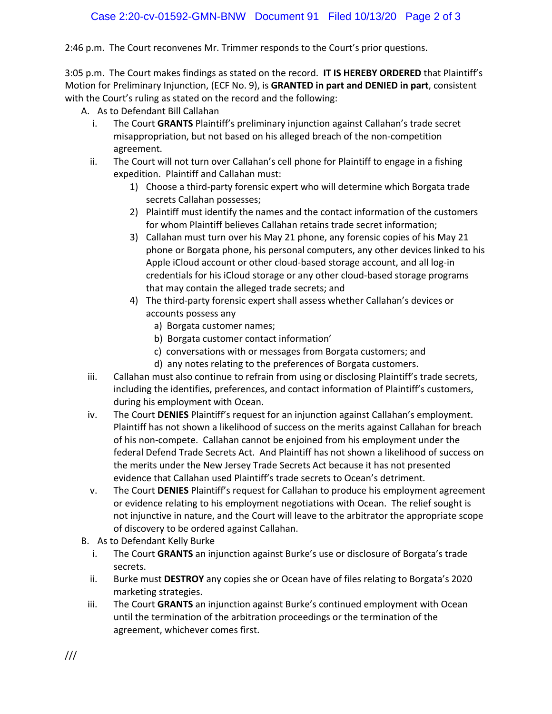2:46 p.m. The Court reconvenes Mr. Trimmer responds to the Court's prior questions.

3:05 p.m. The Court makes findings as stated on the record. **IT IS HEREBY ORDERED** that Plaintiff's Motion for Preliminary Injunction, (ECF No. 9), is **GRANTED in part and DENIED in part**, consistent with the Court's ruling as stated on the record and the following:

- A. As to Defendant Bill Callahan
	- i. The Court **GRANTS** Plaintiff's preliminary injunction against Callahan's trade secret misappropriation, but not based on his alleged breach of the non‐competition agreement.
	- ii. The Court will not turn over Callahan's cell phone for Plaintiff to engage in a fishing expedition. Plaintiff and Callahan must:
		- 1) Choose a third‐party forensic expert who will determine which Borgata trade secrets Callahan possesses;
		- 2) Plaintiff must identify the names and the contact information of the customers for whom Plaintiff believes Callahan retains trade secret information;
		- 3) Callahan must turn over his May 21 phone, any forensic copies of his May 21 phone or Borgata phone, his personal computers, any other devices linked to his Apple iCloud account or other cloud-based storage account, and all log-in credentials for his iCloud storage or any other cloud‐based storage programs that may contain the alleged trade secrets; and
		- 4) The third-party forensic expert shall assess whether Callahan's devices or accounts possess any
			- a) Borgata customer names;
			- b) Borgata customer contact information'
			- c) conversations with or messages from Borgata customers; and
			- d) any notes relating to the preferences of Borgata customers.
- iii. Callahan must also continue to refrain from using or disclosing Plaintiff's trade secrets, including the identifies, preferences, and contact information of Plaintiff's customers, during his employment with Ocean.
- iv. The Court **DENIES** Plaintiff's request for an injunction against Callahan's employment. Plaintiff has not shown a likelihood of success on the merits against Callahan for breach of his non‐compete. Callahan cannot be enjoined from his employment under the federal Defend Trade Secrets Act. And Plaintiff has not shown a likelihood of success on the merits under the New Jersey Trade Secrets Act because it has not presented evidence that Callahan used Plaintiff's trade secrets to Ocean's detriment.
- v. The Court **DENIES** Plaintiff's request for Callahan to produce his employment agreement or evidence relating to his employment negotiations with Ocean. The relief sought is not injunctive in nature, and the Court will leave to the arbitrator the appropriate scope of discovery to be ordered against Callahan.
- B. As to Defendant Kelly Burke
	- i. The Court **GRANTS** an injunction against Burke's use or disclosure of Borgata's trade secrets.
	- ii. Burke must **DESTROY** any copies she or Ocean have of files relating to Borgata's 2020 marketing strategies.
- iii. The Court **GRANTS** an injunction against Burke's continued employment with Ocean until the termination of the arbitration proceedings or the termination of the agreement, whichever comes first.